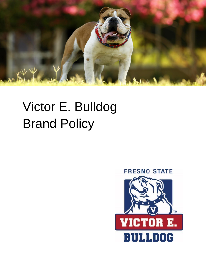

# Victor E. Bulldog Brand Policy

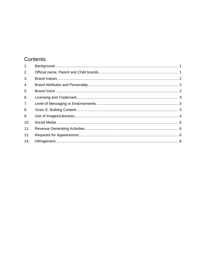# Contents

| 1 <sub>1</sub>   |  |
|------------------|--|
| 2.               |  |
| 3.               |  |
| $\overline{4}$ . |  |
| 5.               |  |
| 6.               |  |
| 7.               |  |
| 8.               |  |
| 9.               |  |
| 10.              |  |
| 11.              |  |
| 12.              |  |
| 14.              |  |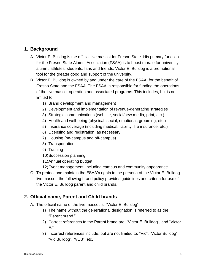# <span id="page-2-0"></span>**1. Background**

- A. Victor E. Bulldog is the official live mascot for Fresno State. His primary function for the Fresno State Alumni Association (FSAA) is to boost morale for university alumni, athletes, students, fans and friends. Victor E. Bulldog is a promotional tool for the greater good and support of the university.
- B. Victor E. Bulldog is owned by and under the care of the FSAA, for the benefit of Fresno State and the FSAA. The FSAA is responsible for funding the operations of the live mascot operation and associated programs. This includes, but is not limited to:
	- 1) Brand development and management
	- 2) Development and implementation of revenue-generating strategies
	- 3) Strategic communications (website, social/new media, print, etc.)
	- 4) Health and well-being (physical, social, emotional, grooming, etc.)
	- 5) Insurance coverage (including medical, liability, life insurance, etc.)
	- 6) Licensing and registration, as necessary
	- 7) Housing (on-campus and off-campus)
	- 8) Transportation
	- 9) Training
	- 10)Succession planning
	- 11)Annual operating budget
	- 12)Event management, including campus and community appearance
- C. To protect and maintain the FSAA's rights in the persona of the Victor E. Bulldog live mascot, the following brand policy provides guidelines and criteria for use of the Victor E. Bulldog parent and child brands.

# <span id="page-2-1"></span>**2. Official name, Parent and Child brands**

- A. The official name of the live mascot is: "Victor E. Bulldog"
	- 1) The name without the generational designation is referred to as the "Parent brand."
	- 2) Correct references to the Parent brand are: "Victor E. Bulldog", and "Victor E."
	- 3) Incorrect references include, but are not limited to: "Vic"; "Victor Bulldog", "Vic Bulldog", "VEB", etc.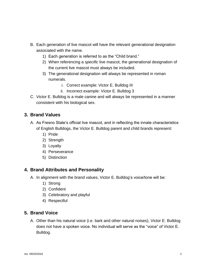- B. Each generation of live mascot will have the relevant generational designation associated with the name.
	- 1) Each generation is referred to as the "Child brand."
	- 2) When referencing a *specific* live mascot, the generational designation of the current live mascot must always be included.
	- 3) The generational designation will always be represented in roman numerals.
		- i. Correct example: Victor E. Bulldog III
		- ii. Incorrect example: Victor E. Bulldog 3
- C. Victor E. Bulldog is a male canine and will always be represented in a manner consistent with his biological sex.

#### <span id="page-3-0"></span>**3. Brand Values**

- A. As Fresno State's official live mascot, and in reflecting the innate characteristics of English Bulldogs, the Victor E. Bulldog parent and child brands represent:
	- 1) Pride
	- 2) Strength
	- 3) Loyalty
	- 4) Perseverance
	- 5) Distinction

# <span id="page-3-1"></span>**4. Brand Attributes and Personality**

- A. In alignment with the brand values, Victor E. Bulldog's voice/tone will be:
	- 1) Strong
	- 2) Confident
	- 3) Celebratory and playful
	- 4) Respectful

# <span id="page-3-2"></span>**5. Brand Voice**

A. Other than his natural voice (i.e. bark and other natural noises), Victor E. Bulldog does not have a spoken voice. No individual will serve as the "voice" of Victor E. Bulldog.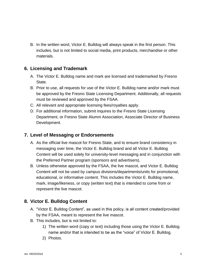B. In the written word, Victor E. Bulldog will always speak in the first person. This includes, but is not limited to social media, print products, merchandise or other materials.

# <span id="page-4-0"></span>**6. Licensing and Trademark**

- A. The Victor E. Bulldog name and mark are licensed and trademarked by Fresno State.
- B. Prior to use, all requests for use of the Victor E. Bulldog name and/or mark must be approved by the Fresno State Licensing Department. Additionally, all requests must be reviewed and approved by the FSAA.
- C. All relevant and appropriate licensing fees/royalties apply.
- D. For additional information, submit inquires to the Fresno State Licensing Department, or Fresno State Alumni Association, Associate Director of Business Development.

#### <span id="page-4-1"></span>**7. Level of Messaging or Endorsements**

- A. As the official live mascot for Fresno State, and to ensure brand consistency in messaging over time, the Victor E. Bulldog brand and all Victor E. Bulldog Content will be used solely for university-level messaging and in conjunction with the Preferred Partner program (sponsors and advertisers).
- B. Unless otherwise approved by the FSAA, the live mascot, and Victor E. Bulldog Content will not be used by campus divisions/departments/units for promotional, educational, or informative content. This includes the Victor E. Bulldog name, mark, image/likeness, or copy (written text) that is intended to come from or represent the live mascot.

# <span id="page-4-2"></span>**8. Victor E. Bulldog Content**

- A. "Victor E. Bulldog Content", as used in this policy, is all content created/provided by the FSAA, meant to represent the live mascot.
- B. This includes, but is not limited to:
	- 1) The written word (copy or text) including those using the Victor E. Bulldog name and/or that is intended to be as the "voice" of Victor E. Bulldog.
	- 2) Photos.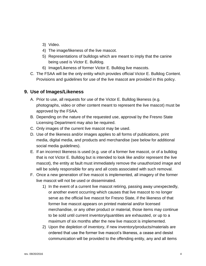- 3) Video.
- 4) The image/likeness of the live mascot.
- 5) Representations of bulldogs which are meant to imply that the canine being used is Victor E. Bulldog.
- 6) Image/Likeness of former Victor E. Bulldog live mascots.
- C. The FSAA will be the only entity which provides official Victor E. Bulldog Content. Provisions and guidelines for use of the live mascot are provided in this policy.

#### <span id="page-5-0"></span>**9. Use of Images/Likeness**

- A. Prior to use, all requests for use of the Victor E. Bulldog likeness (e.g. photographs, video or other content meant to represent the live mascot) must be approved by the FSAA.
- B. Depending on the nature of the requested use, approval by the Fresno State Licensing Department may also be required.
- C. Only images of the current live mascot may be used.
- D. Use of the likeness and/or images applies to all forms of publications, print media, digital media, and products and merchandise (see below for additional social media guidelines).
- E. If an incorrect likeness is used (e.g. use of a former live mascot, or of a bulldog that is not Victor E. Bulldog but is intended to look like and/or represent the live mascot), the entity at fault must immediately remove the unauthorized image and will be solely responsible for any and all costs associated with such removal.
- F. Once a new generation of live mascot is implemented, all imagery of the former live mascot will not be used or disseminated.
	- 1) In the event of a current live mascot retiring, passing away unexpectedly, or another event occurring which causes that live mascot to no longer serve as the official live mascot for Fresno State, if the likeness of that former live mascot appears on printed material and/or licensed merchandise, or any other product or material, those items may continue to be sold until current inventory/quantities are exhausted, or up to a maximum of six months after the new live mascot is implemented.
	- 2) Upon the depletion of inventory, if new inventory/products/materials are ordered that use the former live mascot's likeness, a cease and desist communication will be provided to the offending entity, any and all items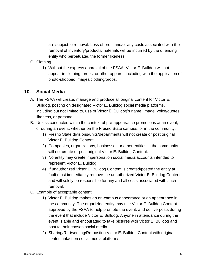are subject to removal. Loss of profit and/or any costs associated with the removal of inventory/products/materials will be incurred by the offending entity who perpetuated the former likeness.

#### G. Clothing

1) Without the express approval of the FSAA, Victor E. Bulldog will not appear in clothing, props, or other apparel, including with the application of photo-shopped images/clothing/props.

#### <span id="page-6-0"></span>**10. Social Media**

- A. The FSAA will create, manage and produce all original content for Victor E. Bulldog, posting on designated Victor E. Bulldog social media platforms, including but not limited to, use of Victor E. Bulldog's name, image, voice/quotes, likeness, or persona.
- B. Unless conducted within the context of pre-appearance promotions at an event, or during an event, whether on the Fresno State campus, or in the community:
	- 1) Fresno State divisions/units/departments will not create or post original Victor E. Bulldog Content.
	- 2) Companies, organizations, businesses or other entities in the community will not create or post original Victor E. Bulldog Content.
	- 3) No entity may create impersonation social media accounts intended to represent Victor E. Bulldog.
	- 4) If unauthorized Victor E. Bulldog Content is created/posted the entity at fault must immediately remove the unauthorized Victor E. Bulldog Content and will solely be responsible for any and all costs associated with such removal.
- C. Example of acceptable content:
	- 1) Victor E. Bulldog makes an on-campus appearance or an appearance in the community. The organizing entity may use Victor E. Bulldog Content approved by the FSAA to help promote the event, and do live-posts during the event that include Victor E. Bulldog. Anyone in attendance during the event is able and encouraged to take pictures with Victor E. Bulldog and post to their chosen social media.
	- 2) Sharing/Re-tweeting/Re-posting Victor E. Bulldog Content with original content intact on social media platforms.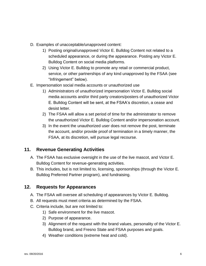- D. Examples of unacceptable/unapproved content:
	- 1) Posting original/unapproved Victor E. Bulldog Content not related to a scheduled appearance, or during the appearance. Posting any Victor E. Bulldog Content on social media platforms.
	- 2) Using Victor E. Bulldog to promote any retail or commercial product, service, or other partnerships of any kind unapproved by the FSAA (see "Infringement" below).
- E. Impersonation social media accounts or unauthorized use
	- 1) Administrators of unauthorized impersonation Victor E. Bulldog social media accounts and/or third party creators/posters of unauthorized Victor E. Bulldog Content will be sent, at the FSAA's discretion, a cease and desist letter.
	- 2) The FSAA will allow a set period of time for the administrator to remove the unauthorized Victor E. Bulldog Content and/or impersonation account.
	- 3) In the event the unauthorized user does not remove the post, terminate the account, and/or provide proof of termination in a timely manner, the FSAA, at its discretion, will pursue legal recourse.

# <span id="page-7-0"></span>**11. Revenue Generating Activities**

- A. The FSAA has exclusive oversight in the use of the live mascot, and Victor E. Bulldog Content for revenue-generating activities.
- B. This includes, but is not limited to, licensing, sponsorships (through the Victor E. Bulldog Preferred Partner program), and fundraising.

# <span id="page-7-1"></span>**12. Requests for Appearances**

- A. The FSAA will oversee all scheduling of appearances by Victor E. Bulldog.
- B. All requests must meet criteria as determined by the FSAA.
- C. Criteria include, but are not limited to:
	- 1) Safe environment for the live mascot.
	- 2) Purpose of appearance.
	- 3) Alignment of the request with the brand values, personality of the Victor E. Bulldog brand, and Fresno State and FSAA purposes and goals.
	- 4) Weather conditions (extreme heat and cold).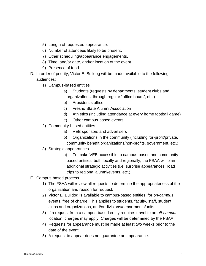- 5) Length of requested appearance.
- 6) Number of attendees likely to be present.
- 7) Other scheduling/appearance engagements.
- 8) Time, and/or date, and/or location of the event.
- 9) Presence of food.
- D. In order of priority, Victor E. Bulldog will be made available to the following audiences:
	- 1) Campus-based entities
		- a) Students (requests by departments, student clubs and organizations, through regular "office hours", etc.)
		- b) President's office
		- c) Fresno State Alumni Association
		- d) Athletics (including attendance at every home football game)
		- e) Other campus-based events
	- 2) Community-based entities
		- a) VEB sponsors and advertisers
		- b) Organizations in the community (including for-profit/private,
		- community benefit organizations/non-profits, government, etc.)
	- 3) Strategic appearances
		- a) To make VEB accessible to campus-based and communitybased entities, both locally and regionally, the FSAA will plan additional strategic activities (i.e. surprise appearances, road trips to regional alumni/events, etc.).
- E. Campus-based process
	- 1) The FSAA will review all requests to determine the appropriateness of the organization and reason for request.
	- 2) Victor E. Bulldog is available to campus-based entities, for *on-campus* events, free of charge. This applies to students, faculty, staff, student clubs and organizations, and/or divisions/departments/units.
	- 3) If a request from a campus-based entity requires travel to an *off-campus* location, charges may apply. Charges will be determined by the FSAA.
	- 4) Requests for appearance must be made at least two weeks prior to the date of the event.
	- 5) A request to appear does not guarantee an appearance.